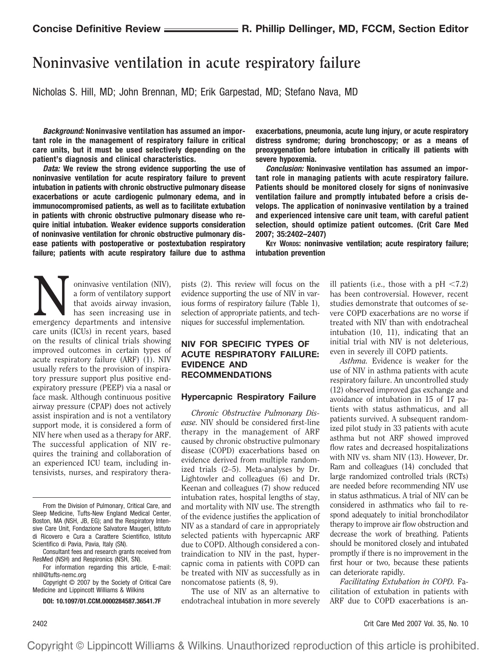# **Noninvasive ventilation in acute respiratory failure**

Nicholas S. Hill, MD; John Brennan, MD; Erik Garpestad, MD; Stefano Nava, MD

*Background:* **Noninvasive ventilation has assumed an important role in the management of respiratory failure in critical care units, but it must be used selectively depending on the patient's diagnosis and clinical characteristics.**

*Data:* **We review the strong evidence supporting the use of noninvasive ventilation for acute respiratory failure to prevent intubation in patients with chronic obstructive pulmonary disease exacerbations or acute cardiogenic pulmonary edema, and in immunocompromised patients, as well as to facilitate extubation in patients with chronic obstructive pulmonary disease who require initial intubation. Weaker evidence supports consideration of noninvasive ventilation for chronic obstructive pulmonary disease patients with postoperative or postextubation respiratory failure; patients with acute respiratory failure due to asthma**

Noninvasive ventilation (NIV),<br>
a form of ventilatory support<br>
that avoids airway invasion,<br>
has seen increasing use in<br>
emergency departments and intensive a form of ventilatory support that avoids airway invasion, has seen increasing use in care units (ICUs) in recent years, based on the results of clinical trials showing improved outcomes in certain types of acute respiratory failure (ARF) (1). NIV usually refers to the provision of inspiratory pressure support plus positive endexpiratory pressure (PEEP) via a nasal or face mask. Although continuous positive airway pressure (CPAP) does not actively assist inspiration and is not a ventilatory support mode, it is considered a form of NIV here when used as a therapy for ARF. The successful application of NIV requires the training and collaboration of an experienced ICU team, including intensivists, nurses, and respiratory thera-

Consultant fees and research grants received from ResMed (NSH) and Respironics (NSH, SN).

For information regarding this article, E-mail: nhill@tufts-nemc.org

**DOI: 10.1097/01.CCM.0000284587.36541.7F**

pists (2). This review will focus on the evidence supporting the use of NIV in various forms of respiratory failure (Table 1), selection of appropriate patients, and tech-

# **NIV FOR SPECIFIC TYPES OF ACUTE RESPIRATORY FAILURE: EVIDENCE AND RECOMMENDATIONS**

niques for successful implementation.

#### **Hypercapnic Respiratory Failure**

*Chronic Obstructive Pulmonary Disease.* NIV should be considered first-line therapy in the management of ARF caused by chronic obstructive pulmonary disease (COPD) exacerbations based on evidence derived from multiple randomized trials (2–5). Meta-analyses by Dr. Lightowler and colleagues (6) and Dr. Keenan and colleagues (7) show reduced intubation rates, hospital lengths of stay, and mortality with NIV use. The strength of the evidence justifies the application of NIV as a standard of care in appropriately selected patients with hypercapnic ARF due to COPD. Although considered a contraindication to NIV in the past, hypercapnic coma in patients with COPD can be treated with NIV as successfully as in noncomatose patients (8, 9).

The use of NIV as an alternative to endotracheal intubation in more severely

**exacerbations, pneumonia, acute lung injury, or acute respiratory distress syndrome; during bronchoscopy; or as a means of preoxygenation before intubation in critically ill patients with severe hypoxemia.**

*Conclusion:* **Noninvasive ventilation has assumed an important role in managing patients with acute respiratory failure. Patients should be monitored closely for signs of noninvasive ventilation failure and promptly intubated before a crisis develops. The application of noninvasive ventilation by a trained and experienced intensive care unit team, with careful patient selection, should optimize patient outcomes. (Crit Care Med 2007; 35:2402–2407)**

**KEY WORDS: noninvasive ventilation; acute respiratory failure; intubation prevention**

> ill patients (i.e., those with a  $pH < 7.2$ ) has been controversial. However, recent studies demonstrate that outcomes of severe COPD exacerbations are no worse if treated with NIV than with endotracheal intubation (10, 11), indicating that an initial trial with NIV is not deleterious, even in severely ill COPD patients.

> *Asthma.* Evidence is weaker for the use of NIV in asthma patients with acute respiratory failure. An uncontrolled study (12) observed improved gas exchange and avoidance of intubation in 15 of 17 patients with status asthmaticus, and all patients survived. A subsequent randomized pilot study in 33 patients with acute asthma but not ARF showed improved flow rates and decreased hospitalizations with NIV vs. sham NIV (13). However, Dr. Ram and colleagues (14) concluded that large randomized controlled trials (RCTs) are needed before recommending NIV use in status asthmaticus. A trial of NIV can be considered in asthmatics who fail to respond adequately to initial bronchodilator therapy to improve air flow obstruction and decrease the work of breathing. Patients should be monitored closely and intubated promptly if there is no improvement in the first hour or two, because these patients can deteriorate rapidly.

*Facilitating Extubation in COPD.* Facilitation of extubation in patients with ARF due to COPD exacerbations is an-

From the Division of Pulmonary, Critical Care, and Sleep Medicine, Tufts-New England Medical Center, Boston, MA (NSH, JB, EG); and the Respiratory Intensive Care Unit, Fondazione Salvatore Maugeri, Istituto di Ricovero e Cura a Carattere Scientifico, Istituto Scientifico di Pavia, Pavia, Italy (SN).

Copyright © 2007 by the Society of Critical Care Medicine and Lippincott Williams & Wilkins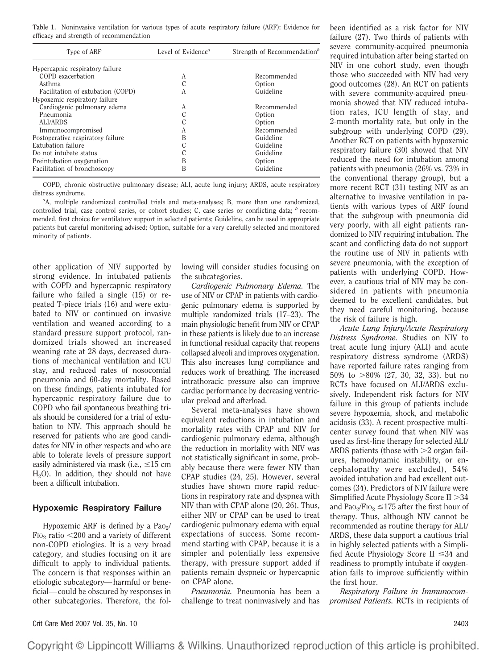**Table 1.** Noninvasive ventilation for various types of acute respiratory failure (ARF): Evidence for efficacy and strength of recommendation

| Type of ARF                       | Level of Evidence <sup>a</sup> | Strength of Recommendation <sup>b</sup> |
|-----------------------------------|--------------------------------|-----------------------------------------|
| Hypercapnic respiratory failure   |                                |                                         |
| COPD exacerbation                 | A                              | Recommended                             |
| Asthma                            |                                | Option                                  |
| Facilitation of extubation (COPD) | A                              | Guideline                               |
| Hypoxemic respiratory failure     |                                |                                         |
| Cardiogenic pulmonary edema       | A                              | Recommended                             |
| Pneumonia                         |                                | Option                                  |
| ALI/ARDS                          |                                | Option                                  |
| Immunocompromised                 | A                              | Recommended                             |
| Postoperative respiratory failure | B                              | Guideline                               |
| Extubation failure                |                                | Guideline                               |
| Do not intubate status            |                                | Guideline                               |
| Preintubation oxygenation         | B                              | Option                                  |
| Facilitation of bronchoscopy      | B                              | Guideline                               |

COPD, chronic obstructive pulmonary disease; ALI, acute lung injury; ARDS, acute respiratory distress syndrome.

*a* A, multiple randomized controlled trials and meta-analyses; B, more than one randomized, controlled trial, case control series, or cohort studies; C, case series or conflicting data; *<sup>b</sup>* recommended, first choice for ventilatory support in selected patients; Guideline, can be used in appropriate patients but careful monitoring advised; Option, suitable for a very carefully selected and monitored minority of patients.

other application of NIV supported by strong evidence. In intubated patients with COPD and hypercapnic respiratory failure who failed a single (15) or repeated T-piece trials (16) and were extubated to NIV or continued on invasive ventilation and weaned according to a standard pressure support protocol, randomized trials showed an increased weaning rate at 28 days, decreased durations of mechanical ventilation and ICU stay, and reduced rates of nosocomial pneumonia and 60-day mortality. Based on these findings, patients intubated for hypercapnic respiratory failure due to COPD who fail spontaneous breathing trials should be considered for a trial of extubation to NIV. This approach should be reserved for patients who are good candidates for NIV in other respects and who are able to tolerate levels of pressure support easily administered via mask (i.e.,  $\leq 15$  cm  $H<sub>2</sub>O$ ). In addition, they should not have been a difficult intubation.

#### **Hypoxemic Respiratory Failure**

Hypoxemic ARF is defined by a  $PaO<sub>2</sub>/$ F<sub>IO<sub>2</sub></sub> ratio  $\leq$ 200 and a variety of different non-COPD etiologies. It is a very broad category, and studies focusing on it are difficult to apply to individual patients. The concern is that responses within an etiologic subcategory— harmful or beneficial— could be obscured by responses in other subcategories. Therefore, the following will consider studies focusing on the subcategories.

*Cardiogenic Pulmonary Edema.* The use of NIV or CPAP in patients with cardiogenic pulmonary edema is supported by multiple randomized trials (17–23). The main physiologic benefit from NIV or CPAP in these patients is likely due to an increase in functional residual capacity that reopens collapsed alveoli and improves oxygenation. This also increases lung compliance and reduces work of breathing. The increased intrathoracic pressure also can improve cardiac performance by decreasing ventricular preload and afterload.

Several meta-analyses have shown equivalent reductions in intubation and mortality rates with CPAP and NIV for cardiogenic pulmonary edema, although the reduction in mortality with NIV was not statistically significant in some, probably because there were fewer NIV than CPAP studies (24, 25). However, several studies have shown more rapid reductions in respiratory rate and dyspnea with NIV than with CPAP alone (20, 26). Thus, either NIV or CPAP can be used to treat cardiogenic pulmonary edema with equal expectations of success. Some recommend starting with CPAP, because it is a simpler and potentially less expensive therapy, with pressure support added if patients remain dyspneic or hypercapnic on CPAP alone.

*Pneumonia.* Pneumonia has been a challenge to treat noninvasively and has been identified as a risk factor for NIV failure (27). Two thirds of patients with severe community-acquired pneumonia required intubation after being started on NIV in one cohort study, even though those who succeeded with NIV had very good outcomes (28). An RCT on patients with severe community-acquired pneumonia showed that NIV reduced intubation rates, ICU length of stay, and 2-month mortality rate, but only in the subgroup with underlying COPD (29). Another RCT on patients with hypoxemic respiratory failure (30) showed that NIV reduced the need for intubation among patients with pneumonia (26% vs. 73% in the conventional therapy group), but a more recent RCT (31) testing NIV as an alternative to invasive ventilation in patients with various types of ARF found that the subgroup with pneumonia did very poorly, with all eight patients randomized to NIV requiring intubation. The scant and conflicting data do not support the routine use of NIV in patients with severe pneumonia, with the exception of patients with underlying COPD. However, a cautious trial of NIV may be considered in patients with pneumonia deemed to be excellent candidates, but they need careful monitoring, because the risk of failure is high.

*Acute Lung Injury/Acute Respiratory Distress Syndrome.* Studies on NIV to treat acute lung injury (ALI) and acute respiratory distress syndrome (ARDS) have reported failure rates ranging from 50% to -80% (27, 30, 32, 33), but no RCTs have focused on ALI/ARDS exclusively. Independent risk factors for NIV failure in this group of patients include severe hypoxemia, shock, and metabolic acidosis (33). A recent prospective multicenter survey found that when NIV was used as first-line therapy for selected ALI/ ARDS patients (those with  $>2$  organ failures, hemodynamic instability, or encephalopathy were excluded), 54% avoided intubation and had excellent outcomes (34). Predictors of NIV failure were Simplified Acute Physiology Score II > 34 and  $PaO_2/FIO_2 \leq 175$  after the first hour of therapy. Thus, although NIV cannot be recommended as routine therapy for ALI/ ARDS, these data support a cautious trial in highly selected patients with a Simplified Acute Physiology Score II  $\leq 34$  and readiness to promptly intubate if oxygenation fails to improve sufficiently within the first hour.

*Respiratory Failure in Immunocompromised Patients.* RCTs in recipients of

Crit Care Med 2007 Vol. 35, No. 10 2403

Copyright © Lippincott Williams & Wilkins. Unauthorized reproduction of this article is prohibited.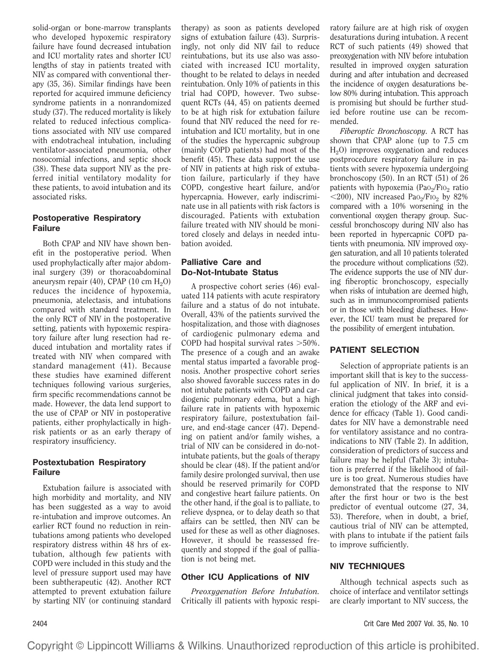solid-organ or bone-marrow transplants who developed hypoxemic respiratory failure have found decreased intubation and ICU mortality rates and shorter ICU lengths of stay in patients treated with NIV as compared with conventional therapy (35, 36). Similar findings have been reported for acquired immune deficiency syndrome patients in a nonrandomized study (37). The reduced mortality is likely related to reduced infectious complications associated with NIV use compared with endotracheal intubation, including ventilator-associated pneumonia, other nosocomial infections, and septic shock (38). These data support NIV as the preferred initial ventilatory modality for these patients, to avoid intubation and its associated risks.

# **Postoperative Respiratory Failure**

Both CPAP and NIV have shown benefit in the postoperative period. When used prophylactically after major abdominal surgery (39) or thoracoabdominal aneurysm repair (40), CPAP (10 cm  $H<sub>2</sub>O$ ) reduces the incidence of hypoxemia, pneumonia, atelectasis, and intubations compared with standard treatment. In the only RCT of NIV in the postoperative setting, patients with hypoxemic respiratory failure after lung resection had reduced intubation and mortality rates if treated with NIV when compared with standard management (41). Because these studies have examined different techniques following various surgeries, firm specific recommendations cannot be made. However, the data lend support to the use of CPAP or NIV in postoperative patients, either prophylactically in highrisk patients or as an early therapy of respiratory insufficiency.

#### **Postextubation Respiratory Failure**

Extubation failure is associated with high morbidity and mortality, and NIV has been suggested as a way to avoid re-intubation and improve outcomes. An earlier RCT found no reduction in reintubations among patients who developed respiratory distress within 48 hrs of extubation, although few patients with COPD were included in this study and the level of pressure support used may have been subtherapeutic (42). Another RCT attempted to prevent extubation failure by starting NIV (or continuing standard therapy) as soon as patients developed signs of extubation failure (43). Surprisingly, not only did NIV fail to reduce reintubations, but its use also was associated with increased ICU mortality, thought to be related to delays in needed reintubation. Only 10% of patients in this trial had COPD, however. Two subsequent RCTs (44, 45) on patients deemed to be at high risk for extubation failure found that NIV reduced the need for reintubation and ICU mortality, but in one of the studies the hypercapnic subgroup (mainly COPD patients) had most of the benefit (45). These data support the use of NIV in patients at high risk of extubation failure, particularly if they have COPD, congestive heart failure, and/or hypercapnia. However, early indiscriminate use in all patients with risk factors is discouraged. Patients with extubation failure treated with NIV should be monitored closely and delays in needed intubation avoided.

# **Palliative Care and Do-Not-Intubate Status**

A prospective cohort series (46) evaluated 114 patients with acute respiratory failure and a status of do not intubate. Overall, 43% of the patients survived the hospitalization, and those with diagnoses of cardiogenic pulmonary edema and COPD had hospital survival rates  $>50\%$ . The presence of a cough and an awake mental status imparted a favorable prognosis. Another prospective cohort series also showed favorable success rates in do not intubate patients with COPD and cardiogenic pulmonary edema, but a high failure rate in patients with hypoxemic respiratory failure, postextubation failure, and end-stage cancer (47). Depending on patient and/or family wishes, a trial of NIV can be considered in do-notintubate patients, but the goals of therapy should be clear (48). If the patient and/or family desire prolonged survival, then use should be reserved primarily for COPD and congestive heart failure patients. On the other hand, if the goal is to palliate, to relieve dyspnea, or to delay death so that affairs can be settled, then NIV can be used for these as well as other diagnoses. However, it should be reassessed frequently and stopped if the goal of palliation is not being met.

# **Other ICU Applications of NIV**

*Preoxygenation Before Intubation.* Critically ill patients with hypoxic respiratory failure are at high risk of oxygen desaturations during intubation. A recent RCT of such patients (49) showed that preoxygenation with NIV before intubation resulted in improved oxygen saturation during and after intubation and decreased the incidence of oxygen desaturations below 80% during intubation. This approach is promising but should be further studied before routine use can be recommended.

*Fiberoptic Bronchoscopy.* A RCT has shown that CPAP alone (up to 7.5 cm  $H<sub>2</sub>O$ ) improves oxygenation and reduces postprocedure respiratory failure in patients with severe hypoxemia undergoing bronchoscopy (50). In an RCT (51) of 26 patients with hypoxemia (PaO<sub>2</sub>/F<sub>IO2</sub> ratio  $\langle 200 \rangle$ , NIV increased Pao<sub>2</sub>/F<sub>IO<sub>2</sub> by 82%</sub> compared with a 10% worsening in the conventional oxygen therapy group. Successful bronchoscopy during NIV also has been reported in hypercapnic COPD patients with pneumonia. NIV improved oxygen saturation, and all 10 patients tolerated the procedure without complications (52). The evidence supports the use of NIV during fiberoptic bronchoscopy, especially when risks of intubation are deemed high, such as in immunocompromised patients or in those with bleeding diatheses. However, the ICU team must be prepared for the possibility of emergent intubation.

# **PATIENT SELECTION**

Selection of appropriate patients is an important skill that is key to the successful application of NIV. In brief, it is a clinical judgment that takes into consideration the etiology of the ARF and evidence for efficacy (Table 1). Good candidates for NIV have a demonstrable need for ventilatory assistance and no contraindications to NIV (Table 2). In addition, consideration of predictors of success and failure may be helpful (Table 3); intubation is preferred if the likelihood of failure is too great. Numerous studies have demonstrated that the response to NIV after the first hour or two is the best predictor of eventual outcome (27, 34, 53). Therefore, when in doubt, a brief, cautious trial of NIV can be attempted, with plans to intubate if the patient fails to improve sufficiently.

# **NIV TECHNIQUES**

Although technical aspects such as choice of interface and ventilator settings are clearly important to NIV success, the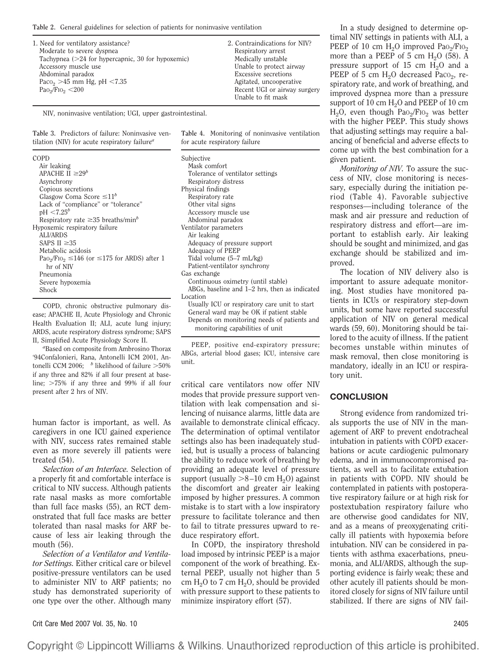**Table 2.** General guidelines for selection of patients for noninvasive ventilation

| l. Need for ventilatory assistance?                  |
|------------------------------------------------------|
| Moderate to severe dyspnea                           |
| Tachypnea $(>=24$ for hypercapnic, 30 for hypoxemic) |
| Accessory muscle use                                 |
| Abdominal paradox                                    |
| Paco <sub>2</sub> > 45 mm Hg, pH < 7.35              |
| $Pao_2/Fio_2 < 200$                                  |
|                                                      |

2. Contraindications for NIV? Respiratory arrest Medically unstable Unable to protect airway Excessive secretions Agitated, uncooperative Recent UGI or airway surgery Unable to fit mask

NIV, noninvasive ventilation; UGI, upper gastrointestinal.

**Table 3.** Predictors of failure: Noninvasive ventilation (NIV) for acute respiratory failure*<sup>a</sup>*

COPD Air leaking  $APACHE II \geq 29<sup>b</sup>$ Asynchrony Copious secretions Glasgow Coma Score  $\leq 11^b$ Lack of "compliance" or "tolerance"  $pH < 7.25<sup>b</sup>$ **Respiratory rate ≥35 breaths/min<sup>b</sup>** Hypoxemic respiratory failure ALI/ARDS SAPS II  $\geq 35$ Metabolic acidosis  $PaO<sub>2</sub>/FIO<sub>2</sub> \le 146$  (or  $\le 175$  for ARDS) after 1 hr of NIV Pneumonia Severe hypoxemia Shock

COPD, chronic obstructive pulmonary disease; APACHE II, Acute Physiology and Chronic Health Evaluation II; ALI, acute lung injury; ARDS, acute respiratory distress syndrome; SAPS II, Simplified Acute Physiology Score II.

*a* Based on composite from Ambrosino Thorax '94Confalonieri, Rana, Antonelli ICM 2001, Antonelli CCM 2006;  $<sup>b</sup>$  likelihood of failure  $>50\%$ </sup> if any three and 82% if all four present at baseline;  $>75\%$  if any three and 99% if all four present after 2 hrs of NIV.

human factor is important, as well. As caregivers in one ICU gained experience with NIV, success rates remained stable even as more severely ill patients were treated (54).

*Selection of an Interface.* Selection of a properly fit and comfortable interface is critical to NIV success. Although patients rate nasal masks as more comfortable than full face masks (55), an RCT demonstrated that full face masks are better tolerated than nasal masks for ARF because of less air leaking through the mouth (56).

*Selection of a Ventilator and Ventilator Settings.* Either critical care or bilevel positive-pressure ventilators can be used to administer NIV to ARF patients; no study has demonstrated superiority of one type over the other. Although many **Table 4.** Monitoring of noninvasive ventilation for acute respiratory failure

| Subjective                                    |
|-----------------------------------------------|
| Mask comfort                                  |
| Tolerance of ventilator settings              |
| Respiratory distress                          |
| Physical findings                             |
| Respiratory rate                              |
| Other vital signs                             |
| Accessory muscle use                          |
|                                               |
| Abdominal paradox                             |
| Ventilator parameters                         |
| Air leaking                                   |
| Adequacy of pressure support                  |
| Adequacy of PEEP                              |
| Tidal volume (5-7 mL/kg)                      |
| Patient-ventilator synchrony                  |
| Gas exchange                                  |
|                                               |
| Continuous oximetry (until stable)            |
| ABGs, baseline and 1–2 hrs, then as indicated |
| Location                                      |
| Usually ICU or respiratory care unit to start |
| General ward may be OK if patient stable      |
| Depends on monitoring needs of patients and   |
| monitoring capabilities of unit               |
|                                               |

PEEP, positive end-expiratory pressure; ABGs, arterial blood gases; ICU, intensive care unit.

critical care ventilators now offer NIV modes that provide pressure support ventilation with leak compensation and silencing of nuisance alarms, little data are available to demonstrate clinical efficacy. The determination of optimal ventilator settings also has been inadequately studied, but is usually a process of balancing the ability to reduce work of breathing by providing an adequate level of pressure support (usually  $>8-10$  cm H<sub>2</sub>O) against the discomfort and greater air leaking imposed by higher pressures. A common mistake is to start with a low inspiratory pressure to facilitate tolerance and then to fail to titrate pressures upward to reduce respiratory effort.

In COPD, the inspiratory threshold load imposed by intrinsic PEEP is a major component of the work of breathing. External PEEP, usually not higher than 5 cm  $H<sub>2</sub>O$  to 7 cm  $H<sub>2</sub>O$ , should be provided with pressure support to these patients to minimize inspiratory effort (57).

In a study designed to determine optimal NIV settings in patients with ALI, a PEEP of 10 cm  $H_2O$  improved Pa $O_2/F_1O_2$ more than a PEEP of 5 cm  $H<sub>2</sub>O$  (58). A pressure support of 15 cm  $H<sub>2</sub>O$  and a PEEP of 5 cm  $H<sub>2</sub>O$  decreased Pac $O<sub>2</sub>$ , respiratory rate, and work of breathing, and improved dyspnea more than a pressure support of 10 cm  $H<sub>2</sub>O$  and PEEP of 10 cm  $H<sub>2</sub>O$ , even though  $PaO<sub>2</sub>/FIO<sub>2</sub>$  was better with the higher PEEP. This study shows that adjusting settings may require a balancing of beneficial and adverse effects to come up with the best combination for a given patient.

*Monitoring of NIV.* To assure the success of NIV, close monitoring is necessary, especially during the initiation period (Table 4). Favorable subjective responses—including tolerance of the mask and air pressure and reduction of respiratory distress and effort—are important to establish early. Air leaking should be sought and minimized, and gas exchange should be stabilized and improved.

The location of NIV delivery also is important to assure adequate monitoring. Most studies have monitored patients in ICUs or respiratory step-down units, but some have reported successful application of NIV on general medical wards (59, 60). Monitoring should be tailored to the acuity of illness. If the patient becomes unstable within minutes of mask removal, then close monitoring is mandatory, ideally in an ICU or respiratory unit.

# **CONCLUSION**

Strong evidence from randomized trials supports the use of NIV in the management of ARF to prevent endotracheal intubation in patients with COPD exacerbations or acute cardiogenic pulmonary edema, and in immunocompromised patients, as well as to facilitate extubation in patients with COPD. NIV should be contemplated in patients with postoperative respiratory failure or at high risk for postextubation respiratory failure who are otherwise good candidates for NIV, and as a means of preoxygenating critically ill patients with hypoxemia before intubation. NIV can be considered in patients with asthma exacerbations, pneumonia, and ALI/ARDS, although the supporting evidence is fairly weak; these and other acutely ill patients should be monitored closely for signs of NIV failure until stabilized. If there are signs of NIV fail-

Crit Care Med 2007 Vol. 35, No. 10 2405

Copyright © Lippincott Williams & Wilkins. Unauthorized reproduction of this article is prohibited.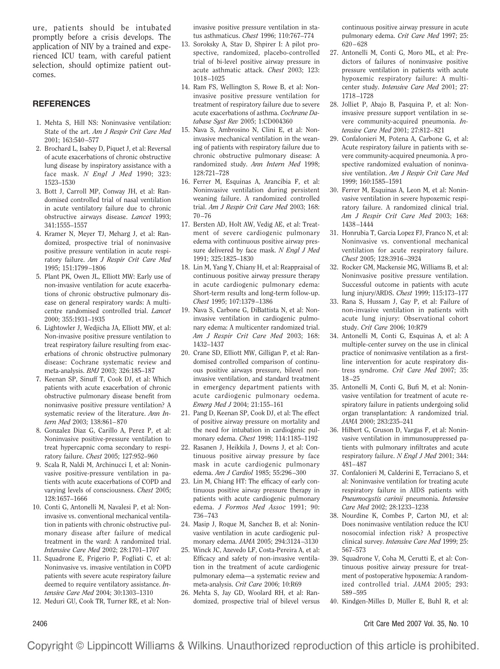ure, patients should be intubated promptly before a crisis develops. The application of NIV by a trained and experienced ICU team, with careful patient selection, should optimize patient outcomes.

# **REFERENCES**

- 1. Mehta S, Hill NS: Noninvasive ventilation: State of the art. *Am J Respir Crit Care Med* 2001; 163:540 –577
- 2. Brochard L, Isabey D, Piquet J, et al: Reversal of acute exacerbations of chronic obstructive lung disease by inspiratory assistance with a face mask. *N Engl J Med* 1990; 323: 1523–1530
- 3. Bott J, Carroll MP, Conway JH, et al: Randomised controlled trial of nasal ventilation in acute ventilatory failure due to chronic obstructive airways disease. *Lancet* 1993; 341:1555–1557
- 4. Kramer N, Meyer TJ, Meharg J, et al: Randomized, prospective trial of noninvasive positive pressure ventilation in acute respiratory failure. *Am J Respir Crit Care Med* 1995; 151:1799 –1806
- 5. Plant PK, Owen JL, Elliott MW: Early use of non-invasive ventilation for acute exacerbations of chronic obstructive pulmonary disease on general respiratory wards: A multicentre randomised controlled trial. *Lancet* 2000; 355:1931–1935
- 6. Lightowler J, Wedjicha JA, Elliott MW, et al: Non-invasive positive pressure ventilation to treat respiratory failure resulting from exacerbations of chronic obstructive pulmonary disease: Cochrane systematic review and meta-analysis. *BMJ* 2003; 326:185–187
- 7. Keenan SP, Sinuff T, Cook DJ, et al: Which patients with acute exacerbation of chronic obstructive pulmonary disease benefit from noninvasive positive pressure ventilation? A systematic review of the literature. *Ann Intern Med* 2003; 138:861– 870
- 8. Gonzalez Diaz G, Carillo A, Perez P, et al: Noninvasive positive-pressure ventilation to treat hypercapnic coma secondary to respiratory failure. *Chest* 2005; 127:952–960
- 9. Scala R, Naldi M, Archinucci I, et al: Noninvasive positive-pressure ventilation in patients with acute exacerbations of COPD and varying levels of consciousness. *Chest* 2005; 128:1657–1666
- 10. Conti G, Antonelli M, Navalesi P, et al: Noninvasive vs. conventional mechanical ventilation in patients with chronic obstructive pulmonary disease after failure of medical treatment in the ward: A randomized trial. *Intensive Care Med* 2002; 28:1701–1707
- 11. Squadrone E, Frigerio P, Fogliati C, et al: Noninvasive vs. invasive ventilation in COPD patients with severe acute respiratory failure deemed to require ventilatory assistance. *Intensive Care Med* 2004; 30:1303–1310
- 12. Meduri GU, Cook TR, Turner RE, et al: Non-

invasive positive pressure ventilation in status asthmaticus. *Chest* 1996; 110:767–774

- 13. Soroksky A, Stav D, Shpirer I: A pilot prospective, randomized, placebo-controlled trial of bi-level positive airway pressure in acute asthmatic attack. *Chest* 2003; 123: 1018 –1025
- 14. Ram FS, Wellington S, Rowe B, et al: Noninvasive positive pressure ventilation for treatment of respiratory failure due to severe acute exacerbations of asthma. *Cochrane Database Syst Rev* 2005; 1:CD004360
- 15. Nava S, Ambrosino N, Clini E, et al: Noninvasive mechanical ventilation in the weaning of patients with respiratory failure due to chronic obstructive pulmonary disease: A randomized study. *Ann Intern Med* 1998; 128:721–728
- 16. Ferrer M, Esquinas A, Arancibia F, et al: Noninvasive ventilation during persistent weaning failure. A randomized controlled trial. *Am J Respir Crit Care Med* 2003; 168:  $70 - 76$
- 17. Bersten AD, Holt AW, Vedig AE, et al: Treatment of severe cardiogenic pulmonary edema with continuous positive airway pressure delivered by face mask. *N Engl J Med* 1991; 325:1825–1830
- 18. Lin M, Yang Y, Chiany H, et al: Reappraisal of continuous positive airway pressure therapy in acute cardiogenic pulmonary edema: Short-term results and long-term follow-up. *Chest* 1995; 107:1379 –1386
- 19. Nava S, Carbone G, DiBattista N, et al: Noninvasive ventilation in cardiogenic pulmonary edema: A multicenter randomized trial. *Am J Respir Crit Care Med* 2003; 168: 1432–1437
- 20. Crane SD, Elliott MW, Gilligan P, et al: Randomised controlled comparison of continuous positive airways pressure, bilevel noninvasive ventilation, and standard treatment in emergency department patients with acute cardiogenic pulmonary oedema. *Emerg Med J* 2004; 21:155–161
- 21. Pang D, Keenan SP, Cook DJ, et al: The effect of positive airway pressure on mortality and the need for intubation in cardiogenic pulmonary edema. *Chest* 1998; 114:1185–1192
- 22. Rasanen J, Heikkila J, Downs J, et al: Continuous positive airway pressure by face mask in acute cardiogenic pulmonary edema. *Am J Cardiol* 1985; 55:296 –300
- 23. Lin M, Chiang HT: The efficacy of early continuous positive airway pressure therapy in patients with acute cardiogenic pulmonary edema. *J Formos Med Assoc* 1991; 90: 736 –743
- 24. Masip J, Roque M, Sanchez B, et al: Noninvasive ventilation in acute cardiogenic pulmonary edema. *JAMA* 2005; 294:3124 –3130
- 25. Winck JC, Azevedo LF, Costa-Pereira A, et al: Efficacy and safety of non-invasive ventilation in the treatment of acute cardiogenic pulmonary edema—a systematic review and meta-analysis. *Crit Care* 2006; 10:R69
- 26. Mehta S, Jay GD, Woolard RH, et al: Randomized, prospective trial of bilevel versus

continuous positive airway pressure in acute pulmonary edema. *Crit Care Med* 1997; 25: 620 – 628

- 27. Antonelli M, Conti G, Moro ML, et al: Predictors of failures of noninvasive positive pressure ventilation in patients with acute hypoxemic respiratory failure: A multicenter study. *Intensive Care Med* 2001; 27: 1718 –1728
- 28. Jolliet P, Abajo B, Pasquina P, et al: Noninvasive pressure support ventilation in severe community-acquired pneumonia. *Intensive Care Med* 2001; 27:812– 821
- 29. Confalonieri M, Potena A, Carbone G, et al: Acute respiratory failure in patients with severe community-acquired pneumonia. A prospective randomized evaluation of noninvasive ventilation. *Am J Respir Crit Care Med* 1999; 160:1585–1591
- 30. Ferrer M, Esquinas A, Leon M, et al: Noninvasive ventilation in severe hypoxemic respiratory failure. A randomized clinical trial. *Am J Respir Crit Care Med* 2003; 168: 1438 –1444
- 31. Honrubia T, Garcia Lopez FJ, Franco N, et al: Noninvasive vs. conventional mechanical ventilation for acute respiratory failure. *Chest* 2005; 128:3916 –3924
- 32. Rocker GM, Mackensie MG, Williams B, et al: Noninvasive positive pressure ventilation. Successful outcome in patients with acute lung injury/ARDS. *Chest* 1999; 115:173–177
- 33. Rana S, Hussam J, Gay P, et al: Failure of non-invasive ventilation in patients with acute lung injury: Observational cohort study. *Crit Care* 2006; 10:R79
- 34. Antonelli M, Conti G, Esquinas A, et al: A multiple-center survey on the use in clinical practice of noninvasive ventilation as a firstline intervention for acute respiratory distress syndrome. *Crit Care Med* 2007; 35: 18 –25
- 35. Antonelli M, Conti G, Bufi M, et al: Noninvasive ventilation for treatment of acute respiratory failure in patients undergoing solid organ transplantation: A randomized trial. *JAMA* 2000; 283:235–241
- 36. Hilbert G, Gruson D, Vargas F, et al: Noninvasive ventilation in immunosuppressed patients with pulmonary infiltrates and acute respiratory failure. *N Engl J Med* 2001; 344: 481– 487
- 37. Confalonieri M, Calderini E, Terraciano S, et al: Noninvasive ventilation for treating acute respiratory failure in AIDS patients with *Pneumocystis carinii* pneumonia. *Intensive Care Med* 2002; 28:1233–1238
- 38. Nourdine K, Combes P, Carton MJ, et al: Does noninvasive ventilation reduce the ICU nosocomial infection risk? A prospective clinical survey. *Intensive Care Med* 1999; 25: 567–573
- 39. Squadrone V, Coha M, Cerutti E, et al: Continuous positive airway pressure for treatment of postoperative hypoxemia: A randomized controlled trial. *JAMA* 2005; 293: 589 –595
- 40. Kindgen-Milles D, Müller E, Buhl R, et al:

2406 Crit Care Med 2007 Vol. 35, No. 10